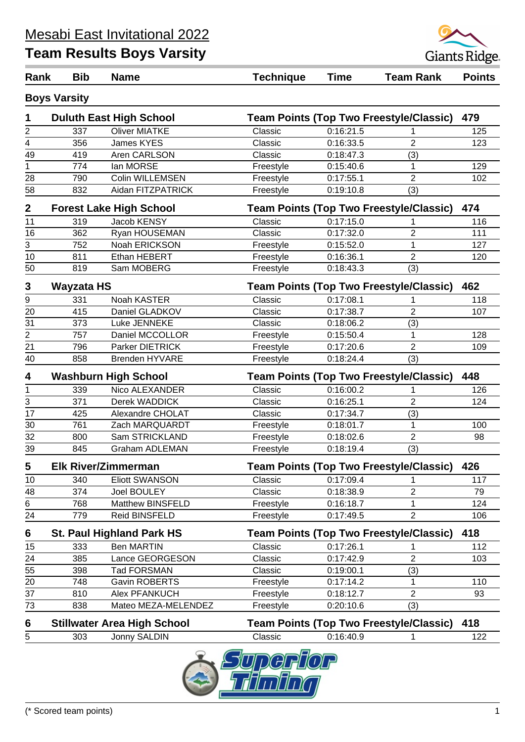

| Rank             | <b>Bib</b>          | <b>Name</b>                        | <b>Technique</b> | <b>Time</b> | <b>Team Rank</b>                               | <b>Points</b> |
|------------------|---------------------|------------------------------------|------------------|-------------|------------------------------------------------|---------------|
|                  | <b>Boys Varsity</b> |                                    |                  |             |                                                |               |
| 1                |                     | <b>Duluth East High School</b>     |                  |             | <b>Team Points (Top Two Freestyle/Classic)</b> | 479           |
| 2                | 337                 | <b>Oliver MIATKE</b>               | Classic          | 0:16:21.5   | 1                                              | 125           |
| 4                | 356                 | James KYES                         | Classic          | 0:16:33.5   | $\overline{2}$                                 | 123           |
| 49               | 419                 | <b>Aren CARLSON</b>                | Classic          | 0:18:47.3   | (3)                                            |               |
| 1                | 774                 | lan MORSE                          | Freestyle        | 0:15:40.6   | 1                                              | 129           |
| 28               | 790                 | Colin WILLEMSEN                    | Freestyle        | 0:17:55.1   | $\overline{c}$                                 | 102           |
| 58               | 832                 | Aidan FITZPATRICK                  | Freestyle        | 0:19:10.8   | (3)                                            |               |
| $\boldsymbol{2}$ |                     | <b>Forest Lake High School</b>     |                  |             | <b>Team Points (Top Two Freestyle/Classic)</b> | 474           |
| 11               | 319                 | Jacob KENSY                        | Classic          | 0:17:15.0   |                                                | 116           |
| 16               | 362                 | Ryan HOUSEMAN                      | Classic          | 0:17:32.0   | $\overline{2}$                                 | 111           |
| 3                | 752                 | Noah ERICKSON                      | Freestyle        | 0:15:52.0   | 1                                              | 127           |
| $\overline{10}$  | 811                 | Ethan HEBERT                       | Freestyle        | 0:16:36.1   | $\overline{2}$                                 | 120           |
| 50               | 819                 | Sam MOBERG                         | Freestyle        | 0:18:43.3   | (3)                                            |               |
| 3                | <b>Wayzata HS</b>   |                                    |                  |             | <b>Team Points (Top Two Freestyle/Classic)</b> | 462           |
| $\overline{9}$   | 331                 | Noah KASTER                        | Classic          | 0:17:08.1   | 1                                              | 118           |
| 20               | 415                 | Daniel GLADKOV                     | Classic          | 0:17:38.7   | $\overline{2}$                                 | 107           |
| 31               | 373                 | Luke JENNEKE                       | Classic          | 0:18:06.2   | (3)                                            |               |
| $\overline{2}$   | 757                 | Daniel MCCOLLOR                    | Freestyle        | 0:15:50.4   | 1                                              | 128           |
| 21               | 796                 | Parker DIETRICK                    | Freestyle        | 0:17:20.6   | $\overline{2}$                                 | 109           |
| 40               | 858                 | <b>Brenden HYVARE</b>              | Freestyle        | 0:18:24.4   | (3)                                            |               |
| 4                |                     | <b>Washburn High School</b>        |                  |             | <b>Team Points (Top Two Freestyle/Classic)</b> | 448           |
| 1                | 339                 | Nico ALEXANDER                     | Classic          | 0:16:00.2   |                                                | 126           |
| 3                | 371                 | Derek WADDICK                      | Classic          | 0:16:25.1   | $\overline{2}$                                 | 124           |
| 17               | 425                 | Alexandre CHOLAT                   | Classic          | 0:17:34.7   | (3)                                            |               |
| 30               | 761                 | Zach MARQUARDT                     | Freestyle        | 0:18:01.7   | 1                                              | 100           |
| $\overline{32}$  | 800                 | Sam STRICKLAND                     | Freestyle        | 0:18:02.6   | $\overline{2}$                                 | 98            |
| 39               | 845                 | <b>Graham ADLEMAN</b>              | Freestyle        | 0:18:19.4   | (3)                                            |               |
| 5                |                     | <b>Elk River/Zimmerman</b>         |                  |             | <b>Team Points (Top Two Freestyle/Classic)</b> | 426           |
| 10               | 340                 | <b>Eliott SWANSON</b>              | Classic          | 0:17:09.4   |                                                | 117           |
| 48               | 374                 | Joel BOULEY                        | Classic          | 0:18:38.9   | $\overline{2}$                                 | 79            |
| 6                | 768                 | Matthew BINSFELD                   | Freestyle        | 0:16:18.7   | 1                                              | 124           |
| 24               | 779                 | <b>Reid BINSFELD</b>               | Freestyle        | 0:17:49.5   | $\overline{2}$                                 | 106           |
| 6                |                     | <b>St. Paul Highland Park HS</b>   |                  |             | <b>Team Points (Top Two Freestyle/Classic)</b> | 418           |
| 15               | 333                 | <b>Ben MARTIN</b>                  | Classic          | 0:17:26.1   |                                                | 112           |
| 24               | 385                 | Lance GEORGESON                    | Classic          | 0:17:42.9   | $\overline{2}$                                 | 103           |
| 55               | 398                 | <b>Tad FORSMAN</b>                 | Classic          | 0:19:00.1   | (3)                                            |               |
| 20               | 748                 | Gavin ROBERTS                      | Freestyle        | 0:17:14.2   | 1                                              | 110           |
| 37               | 810                 | Alex PFANKUCH                      | Freestyle        | 0:18:12.7   | $\overline{2}$                                 | 93            |
| 73               | 838                 | Mateo MEZA-MELENDEZ                | Freestyle        | 0:20:10.6   | (3)                                            |               |
|                  |                     | <b>Stillwater Area High School</b> |                  |             |                                                | 418           |
| 6                |                     |                                    | Classic          |             | <b>Team Points (Top Two Freestyle/Classic)</b> |               |
| 5                | 303                 | Jonny SALDIN                       |                  | 0:16:40.9   | 1.                                             | 122           |
|                  |                     |                                    | 2. Superior      |             |                                                |               |

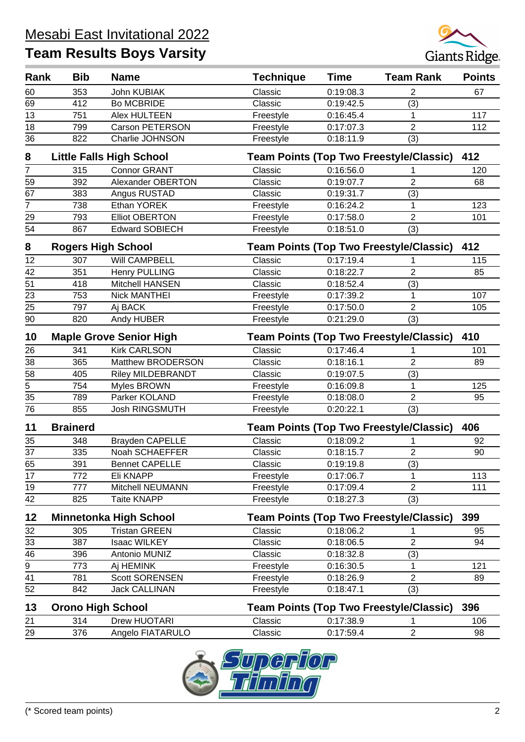### Mesabi East Invitational 2022



| Rank            | <b>Bib</b>                | <b>Name</b>                     | <b>Technique</b> | <b>Time</b> | <b>Team Rank</b>                               | <b>Points</b> |
|-----------------|---------------------------|---------------------------------|------------------|-------------|------------------------------------------------|---------------|
| 60              | 353                       | John KUBIAK                     | Classic          | 0:19:08.3   | 2                                              | 67            |
| 69              | 412                       | <b>Bo MCBRIDE</b>               | Classic          | 0:19:42.5   | (3)                                            |               |
| 13              | 751                       | Alex HULTEEN                    | Freestyle        | 0:16:45.4   | 1                                              | 117           |
| 18              | 799                       | <b>Carson PETERSON</b>          | Freestyle        | 0:17:07.3   | $\overline{2}$                                 | 112           |
| 36              | 822                       | Charlie JOHNSON                 | Freestyle        | 0:18:11.9   | (3)                                            |               |
| 8               |                           | <b>Little Falls High School</b> |                  |             | <b>Team Points (Top Two Freestyle/Classic)</b> | 412           |
| $\overline{7}$  | 315                       | <b>Connor GRANT</b>             | Classic          | 0:16:56.0   |                                                | 120           |
| 59              | 392                       | Alexander OBERTON               | Classic          | 0:19:07.7   | $\overline{2}$                                 | 68            |
| 67              | 383                       | Angus RUSTAD                    | Classic          | 0:19:31.7   | (3)                                            |               |
| 7               | 738                       | Ethan YOREK                     | Freestyle        | 0:16:24.2   | 1                                              | 123           |
| 29              | 793                       | <b>Elliot OBERTON</b>           | Freestyle        | 0:17:58.0   | $\overline{2}$                                 | 101           |
| 54              | 867                       | <b>Edward SOBIECH</b>           | Freestyle        | 0:18:51.0   | (3)                                            |               |
| 8               | <b>Rogers High School</b> |                                 |                  |             | <b>Team Points (Top Two Freestyle/Classic)</b> | 412           |
| 12              | 307                       | Will CAMPBELL                   | Classic          | 0:17:19.4   |                                                | 115           |
| 42              | 351                       | <b>Henry PULLING</b>            | Classic          | 0:18:22.7   | $\overline{2}$                                 | 85            |
| 51              | 418                       | Mitchell HANSEN                 | Classic          | 0:18:52.4   | (3)                                            |               |
| 23              | 753                       | <b>Nick MANTHEI</b>             | Freestyle        | 0:17:39.2   | 1                                              | 107           |
| 25              | 797                       | Aj BACK                         | Freestyle        | 0:17:50.0   | $\overline{2}$                                 | 105           |
| 90              | 820                       | Andy HUBER                      | Freestyle        | 0:21:29.0   | (3)                                            |               |
| 10              |                           | <b>Maple Grove Senior High</b>  |                  |             | <b>Team Points (Top Two Freestyle/Classic)</b> | 410           |
| 26              | 341                       | <b>Kirk CARLSON</b>             | Classic          | 0:17:46.4   |                                                | 101           |
| 38              | 365                       | Matthew BRODERSON               | Classic          | 0:18:16.1   | $\overline{2}$                                 | 89            |
| $\overline{58}$ | 405                       | Riley MILDEBRANDT               | Classic          | 0:19:07.5   | (3)                                            |               |
| $\overline{5}$  | 754                       | Myles BROWN                     | Freestyle        | 0:16:09.8   | 1                                              | 125           |
| 35              | 789                       | Parker KOLAND                   | Freestyle        | 0:18:08.0   | $\overline{2}$                                 | 95            |
| 76              | 855                       | <b>Josh RINGSMUTH</b>           | Freestyle        | 0:20:22.1   | (3)                                            |               |
| 11              | <b>Brainerd</b>           |                                 |                  |             | <b>Team Points (Top Two Freestyle/Classic)</b> | 406           |
| 35              | 348                       | <b>Brayden CAPELLE</b>          | Classic          | 0:18:09.2   |                                                | 92            |
| 37              | 335                       | Noah SCHAEFFER                  | Classic          | 0:18:15.7   | $\overline{2}$                                 | 90            |
| 65              | 391                       | <b>Bennet CAPELLE</b>           | Classic          | 0:19:19.8   | (3)                                            |               |
| 17              | 772                       | Eli KNAPP                       | Freestyle        | 0:17:06.7   | 1                                              | 113           |
| 19              | 777                       | Mitchell NEUMANN                | Freestyle        | 0:17:09.4   | $\overline{2}$                                 | 111           |
| 42              | 825                       | Taite KNAPP                     | Freestyle        | 0:18:27.3   | (3)                                            |               |
| 12              |                           | <b>Minnetonka High School</b>   |                  |             | <b>Team Points (Top Two Freestyle/Classic)</b> | 399           |
| 32              | 305                       | <b>Tristan GREEN</b>            | Classic          | 0:18:06.2   |                                                | 95            |
| 33              | 387                       | <b>Isaac WILKEY</b>             | Classic          | 0:18:06.5   | $\overline{2}$                                 | 94            |
| 46              | 396                       | Antonio MUNIZ                   | Classic          | 0:18:32.8   | (3)                                            |               |
| 9               | 773                       | Aj HEMINK                       | Freestyle        | 0:16:30.5   | 1                                              | 121           |
| 41              | 781                       | <b>Scott SORENSEN</b>           | Freestyle        | 0:18:26.9   | $\overline{2}$                                 | 89            |
| 52              | 842                       | <b>Jack CALLINAN</b>            | Freestyle        | 0:18:47.1   | (3)                                            |               |
| 13              | <b>Orono High School</b>  |                                 |                  |             | <b>Team Points (Top Two Freestyle/Classic)</b> | 396           |
| 21              | 314                       | Drew HUOTARI                    | Classic          | 0:17:38.9   |                                                | 106           |
| 29              | 376                       | Angelo FIATARULO                | Classic          | 0:17:59.4   | $\overline{c}$                                 | 98            |
|                 |                           |                                 |                  |             |                                                |               |

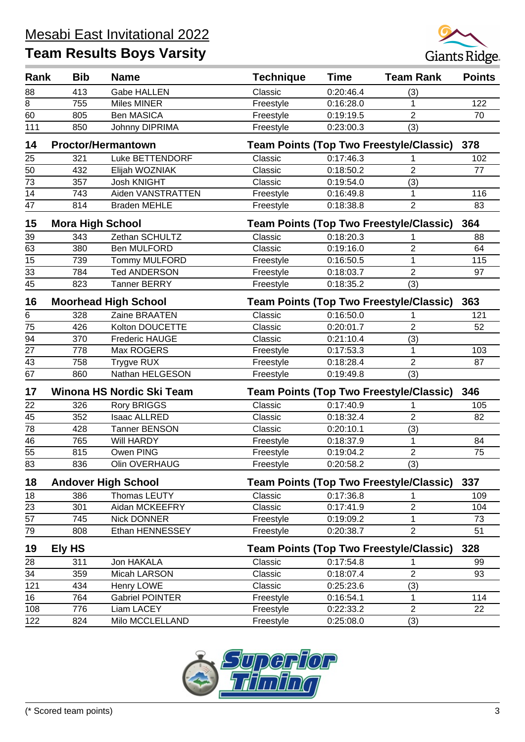### Mesabi East Invitational 2022



| Rank            | <b>Bib</b>              | <b>Name</b>                 | <b>Technique</b> | <b>Time</b> | <b>Team Rank</b>                               | <b>Points</b> |
|-----------------|-------------------------|-----------------------------|------------------|-------------|------------------------------------------------|---------------|
| 88              | 413                     | <b>Gabe HALLEN</b>          | Classic          | 0:20:46.4   | (3)                                            |               |
| 8               | 755                     | Miles MINER                 | Freestyle        | 0:16:28.0   | 1                                              | 122           |
| 60              | 805                     | <b>Ben MASICA</b>           | Freestyle        | 0:19:19.5   | $\overline{2}$                                 | 70            |
| 111             | 850                     | Johnny DIPRIMA              | Freestyle        | 0:23:00.3   | (3)                                            |               |
| 14              |                         | <b>Proctor/Hermantown</b>   |                  |             | <b>Team Points (Top Two Freestyle/Classic)</b> | 378           |
| 25              | 321                     | Luke BETTENDORF             | Classic          | 0:17:46.3   |                                                | 102           |
| 50              | 432                     | Elijah WOZNIAK              | Classic          | 0:18:50.2   | $\overline{2}$                                 | 77            |
| 73              | 357                     | <b>Josh KNIGHT</b>          | Classic          | 0:19:54.0   | (3)                                            |               |
| 14              | 743                     | Aiden VANSTRATTEN           | Freestyle        | 0:16:49.8   |                                                | 116           |
| 47              | 814                     | <b>Braden MEHLE</b>         | Freestyle        | 0:18:38.8   | $\overline{2}$                                 | 83            |
| 15              | <b>Mora High School</b> |                             |                  |             | <b>Team Points (Top Two Freestyle/Classic)</b> | 364           |
| 39              | 343                     | Zethan SCHULTZ              | Classic          | 0:18:20.3   |                                                | 88            |
| 63              | 380                     | <b>Ben MULFORD</b>          | Classic          | 0:19:16.0   | $\overline{2}$                                 | 64            |
| 15              | 739                     | Tommy MULFORD               | Freestyle        | 0:16:50.5   | 1                                              | 115           |
| 33              | 784                     | <b>Ted ANDERSON</b>         | Freestyle        | 0:18:03.7   | $\overline{2}$                                 | 97            |
| 45              | 823                     | <b>Tanner BERRY</b>         | Freestyle        | 0:18:35.2   | (3)                                            |               |
| 16              |                         | <b>Moorhead High School</b> |                  |             | <b>Team Points (Top Two Freestyle/Classic)</b> | 363           |
| 6               | 328                     | Zaine BRAATEN               | Classic          | 0:16:50.0   |                                                | 121           |
| 75              | 426                     | Kolton DOUCETTE             | Classic          | 0:20:01.7   | $\overline{2}$                                 | 52            |
| 94              | 370                     | <b>Frederic HAUGE</b>       | Classic          | 0:21:10.4   | (3)                                            |               |
| 27              | 778                     | Max ROGERS                  | Freestyle        | 0:17:53.3   |                                                | 103           |
| 43              | 758                     | <b>Trygve RUX</b>           | Freestyle        | 0:18:28.4   | $\overline{2}$                                 | 87            |
| 67              | 860                     | Nathan HELGESON             | Freestyle        | 0:19:49.8   | (3)                                            |               |
| 17              |                         | Winona HS Nordic Ski Team   |                  |             | Team Points (Top Two Freestyle/Classic)        | 346           |
| 22              | 326                     | <b>Rory BRIGGS</b>          | Classic          | 0:17:40.9   |                                                | 105           |
| $\overline{45}$ | 352                     | <b>Isaac ALLRED</b>         | Classic          | 0:18:32.4   | $\overline{2}$                                 | 82            |
| 78              | 428                     | <b>Tanner BENSON</b>        | Classic          | 0:20:10.1   | (3)                                            |               |
| 46              | 765                     | <b>Will HARDY</b>           | Freestyle        | 0:18:37.9   | 1                                              | 84            |
| 55              | 815                     | Owen PING                   | Freestyle        | 0:19:04.2   | $\overline{2}$                                 | 75            |
| $\overline{83}$ | 836                     | Olin OVERHAUG               | Freestyle        | 0:20:58.2   | $\overline{(3)}$                               |               |
| 18              |                         | <b>Andover High School</b>  |                  |             | <b>Team Points (Top Two Freestyle/Classic)</b> | 337           |
| 18              | 386                     | Thomas LEUTY                | Classic          | 0:17:36.8   |                                                | 109           |
| 23              | 301                     | Aidan MCKEEFRY              | Classic          | 0:17:41.9   | $\overline{c}$                                 | 104           |
| 57              | 745                     | Nick DONNER                 | Freestyle        | 0:19:09.2   | 1                                              | 73            |
| 79              | 808                     | Ethan HENNESSEY             | Freestyle        | 0:20:38.7   | $\overline{2}$                                 | 51            |
| 19              | Ely HS                  |                             |                  |             | <b>Team Points (Top Two Freestyle/Classic)</b> | 328           |
| 28              | 311                     | Jon HAKALA                  | Classic          | 0:17:54.8   |                                                | 99            |
| 34              | 359                     | Micah LARSON                | Classic          | 0:18:07.4   | $\overline{2}$                                 | 93            |
| 121             | 434                     | Henry LOWE                  | Classic          | 0:25:23.6   | (3)                                            |               |
| 16              | 764                     | <b>Gabriel POINTER</b>      | Freestyle        | 0:16:54.1   | 1                                              | 114           |
| 108             | 776                     | Liam LACEY                  | Freestyle        | 0:22:33.2   | $\overline{2}$                                 | 22            |
| 122             | 824                     | Milo MCCLELLAND             | Freestyle        | 0:25:08.0   | (3)                                            |               |

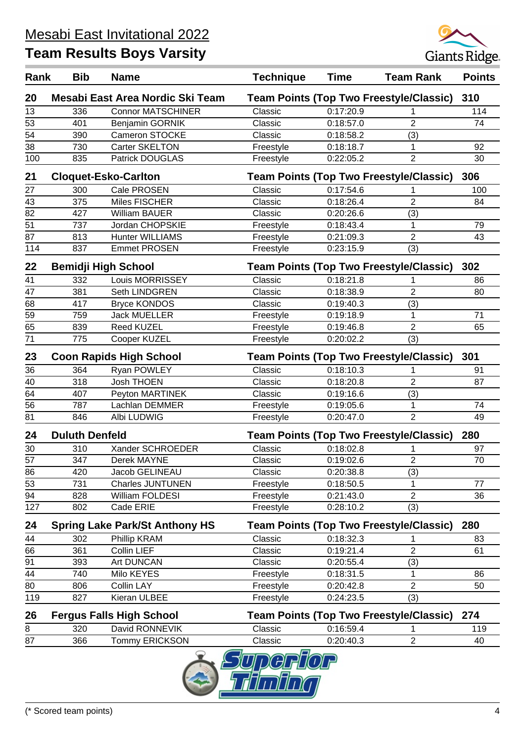

| Rank | <b>Bib</b>            | <b>Name</b>                                                                      | <b>Technique</b> | <b>Time</b> | <b>Team Rank</b>                               | <b>Points</b> |
|------|-----------------------|----------------------------------------------------------------------------------|------------------|-------------|------------------------------------------------|---------------|
| 20   |                       | Mesabi East Area Nordic Ski Team                                                 |                  |             | Team Points (Top Two Freestyle/Classic) 310    |               |
| 13   | 336                   | <b>Connor MATSCHINER</b>                                                         | Classic          | 0:17:20.9   |                                                | 114           |
| 53   | 401                   | Benjamin GORNIK                                                                  | Classic          | 0:18:57.0   | $\overline{2}$                                 | 74            |
| 54   | 390                   | <b>Cameron STOCKE</b>                                                            | Classic          | 0:18:58.2   | (3)                                            |               |
| 38   | 730                   | Carter SKELTON                                                                   | Freestyle        | 0:18:18.7   | 1                                              | 92            |
| 100  | 835                   | <b>Patrick DOUGLAS</b>                                                           | Freestyle        | 0:22:05.2   | $\overline{2}$                                 | 30            |
| 21   |                       | <b>Cloquet-Esko-Carlton</b>                                                      |                  |             | <b>Team Points (Top Two Freestyle/Classic)</b> | 306           |
| 27   | 300                   | Cale PROSEN                                                                      | Classic          | 0:17:54.6   | 1                                              | 100           |
| 43   | 375                   | Miles FISCHER                                                                    | Classic          | 0:18:26.4   | $\overline{2}$                                 | 84            |
| 82   | 427                   | <b>William BAUER</b>                                                             | Classic          | 0:20:26.6   | (3)                                            |               |
| 51   | 737                   | Jordan CHOPSKIE                                                                  | Freestyle        | 0:18:43.4   | 1                                              | 79            |
| 87   | 813                   | <b>Hunter WILLIAMS</b>                                                           | Freestyle        | 0:21:09.3   | $\overline{2}$                                 | 43            |
| 114  | 837                   | <b>Emmet PROSEN</b>                                                              | Freestyle        | 0:23:15.9   | (3)                                            |               |
| 22   |                       | <b>Bemidji High School</b>                                                       |                  |             | <b>Team Points (Top Two Freestyle/Classic)</b> | 302           |
| 41   | 332                   | Louis MORRISSEY                                                                  | Classic          | 0:18:21.8   |                                                | 86            |
| 47   | 381                   | Seth LINDGREN                                                                    | Classic          | 0:18:38.9   | $\overline{2}$                                 | 80            |
| 68   | 417                   | <b>Bryce KONDOS</b>                                                              | Classic          | 0:19:40.3   | (3)                                            |               |
| 59   | 759                   | <b>Jack MUELLER</b>                                                              | Freestyle        | 0:19:18.9   | 1                                              | 71            |
| 65   | 839                   | Reed KUZEL                                                                       | Freestyle        | 0:19:46.8   | $\overline{2}$                                 | 65            |
| 71   | 775                   | Cooper KUZEL                                                                     | Freestyle        | 0:20:02.2   | (3)                                            |               |
| 23   |                       | <b>Coon Rapids High School</b><br><b>Team Points (Top Two Freestyle/Classic)</b> |                  |             |                                                | 301           |
| 36   | 364                   | Ryan POWLEY                                                                      | Classic          | 0:18:10.3   | 1                                              | 91            |
| 40   | 318                   | <b>Josh THOEN</b>                                                                | Classic          | 0:18:20.8   | $\overline{2}$                                 | 87            |
| 64   | 407                   | Peyton MARTINEK                                                                  | Classic          | 0:19:16.6   | (3)                                            |               |
| 56   | 787                   | Lachlan DEMMER                                                                   | Freestyle        | 0:19:05.6   | 1                                              | 74            |
| 81   | 846                   | Albi LUDWIG                                                                      | Freestyle        | 0:20:47.0   | $\overline{2}$                                 | 49            |
| 24   | <b>Duluth Denfeld</b> |                                                                                  |                  |             | <b>Team Points (Top Two Freestyle/Classic)</b> | 280           |
| 30   | 310                   | Xander SCHROEDER                                                                 | Classic          | 0:18:02.8   | 1                                              | 97            |
| 57   | 347                   | Derek MAYNE                                                                      | Classic          | 0:19:02.6   | 2                                              | 70            |
| 86   | 420                   | Jacob GELINEAU                                                                   | Classic          | 0:20:38.8   | (3)                                            |               |
| 53   | 731                   | <b>Charles JUNTUNEN</b>                                                          | Freestyle        | 0:18:50.5   | 1                                              | 77            |
| 94   | 828                   | William FOLDESI                                                                  | Freestyle        | 0:21:43.0   | $\overline{2}$                                 | 36            |
| 127  | 802                   | Cade ERIE                                                                        | Freestyle        | 0:28:10.2   | (3)                                            |               |
| 24   |                       | <b>Spring Lake Park/St Anthony HS</b>                                            |                  |             | <b>Team Points (Top Two Freestyle/Classic)</b> | 280           |
| 44   | 302                   | Phillip KRAM                                                                     | Classic          | 0:18:32.3   |                                                | 83            |
| 66   | 361                   | Collin LIEF                                                                      | Classic          | 0:19:21.4   | $\overline{2}$                                 | 61            |
| 91   | 393                   | Art DUNCAN                                                                       | Classic          | 0:20:55.4   | (3)                                            |               |
| 44   | 740                   | Milo KEYES                                                                       | Freestyle        | 0:18:31.5   | 1                                              | 86            |
| 80   | 806                   | Collin LAY                                                                       | Freestyle        | 0:20:42.8   | $\overline{2}$                                 | 50            |
| 119  | 827                   | Kieran ULBEE                                                                     | Freestyle        | 0:24:23.5   | (3)                                            |               |
| 26   |                       | <b>Fergus Falls High School</b>                                                  |                  |             | <b>Team Points (Top Two Freestyle/Classic)</b> | 274           |
| 8    | 320                   | David RONNEVIK                                                                   | Classic          | 0:16:59.4   | 1                                              | 119           |
| 87   | 366                   | Tommy ERICKSON                                                                   | Classic          | 0:20:40.3   | $\overline{2}$                                 | 40            |
|      |                       | $\mathbf \Psi$                                                                   | <b>Burgelon</b>  |             |                                                |               |

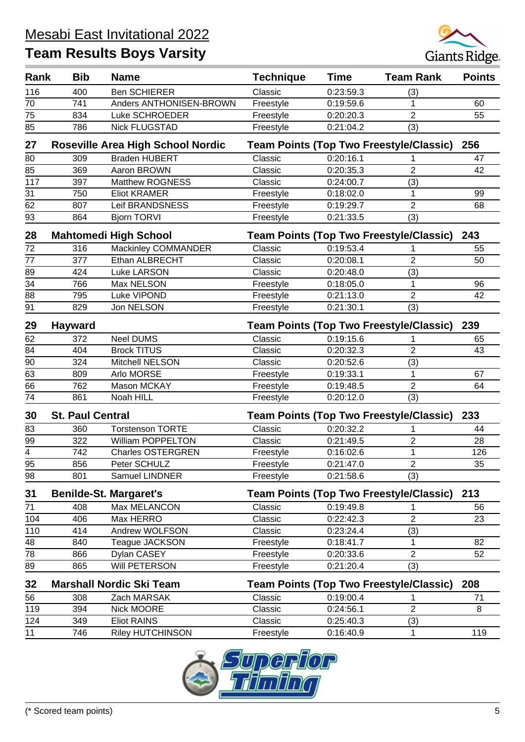

| Rank            | <b>Bib</b>              | <b>Name</b>                                    | <b>Technique</b>                               | <b>Time</b> | <b>Team Rank</b>                               | <b>Points</b>   |
|-----------------|-------------------------|------------------------------------------------|------------------------------------------------|-------------|------------------------------------------------|-----------------|
| 116             | 400                     | <b>Ben SCHIERER</b>                            | Classic                                        | 0:23:59.3   | (3)                                            |                 |
| 70              | 741                     | Anders ANTHONISEN-BROWN                        | Freestyle                                      | 0:19:59.6   | 1                                              | 60              |
| $\overline{75}$ | 834                     | Luke SCHROEDER                                 | Freestyle                                      | 0:20:20.3   | $\overline{2}$                                 | 55              |
| 85              | 786                     | <b>Nick FLUGSTAD</b>                           | Freestyle                                      | 0:21:04.2   | (3)                                            |                 |
| 27              |                         | <b>Roseville Area High School Nordic</b>       | <b>Team Points (Top Two Freestyle/Classic)</b> | 256         |                                                |                 |
| 80              | 309                     | <b>Braden HUBERT</b>                           | Classic                                        | 0:20:16.1   |                                                | 47              |
| 85              | 369                     | Aaron BROWN                                    | Classic                                        | 0:20:35.3   | $\overline{2}$                                 | 42              |
| 117             | 397                     | <b>Matthew ROGNESS</b>                         | Classic                                        | 0:24:00.7   | (3)                                            |                 |
| 31              | 750                     | <b>Eliot KRAMER</b>                            | Freestyle                                      | 0:18:02.0   | 1                                              | 99              |
| 62              | 807                     | Leif BRANDSNESS                                | Freestyle                                      | 0:19:29.7   | $\overline{2}$                                 | 68              |
| 93              | 864                     | <b>Bjorn TORVI</b>                             | Freestyle                                      | 0:21:33.5   | (3)                                            |                 |
| 28              |                         | <b>Mahtomedi High School</b>                   |                                                |             | <b>Team Points (Top Two Freestyle/Classic)</b> | 243             |
| 72              | 316                     | Mackinley COMMANDER                            | Classic                                        | 0:19:53.4   |                                                | 55              |
| 77              | 377                     | Ethan ALBRECHT                                 | Classic                                        | 0:20:08.1   | $\overline{2}$                                 | 50              |
| 89              | 424                     | Luke LARSON                                    | Classic                                        | 0:20:48.0   | (3)                                            |                 |
| 34              | 766                     | Max NELSON                                     | Freestyle                                      | 0:18:05.0   | 1                                              | 96              |
| 88              | 795                     | Luke VIPOND                                    | Freestyle                                      | 0:21:13.0   | $\overline{2}$                                 | 42              |
| 91              | 829                     | Jon NELSON                                     | Freestyle                                      | 0:21:30.1   | (3)                                            |                 |
| 29              | <b>Hayward</b>          | <b>Team Points (Top Two Freestyle/Classic)</b> |                                                |             |                                                | 239             |
| 62              | 372                     | <b>Neel DUMS</b>                               | Classic                                        | 0:19:15.6   |                                                | 65              |
| 84              | 404                     | <b>Brock TITUS</b>                             | Classic                                        | 0:20:32.3   | $\overline{2}$                                 | 43              |
| 90              | 324                     | Mitchell NELSON                                | Classic                                        | 0:20:52.6   | (3)                                            |                 |
| 63              | 809                     | Arlo MORSE                                     | Freestyle                                      | 0:19:33.1   | 1                                              | 67              |
| 66              | 762                     | Mason MCKAY                                    | Freestyle                                      | 0:19:48.5   | $\overline{2}$                                 | 64              |
| 74              | 861                     | Noah HILL                                      | Freestyle                                      | 0:20:12.0   | (3)                                            |                 |
| 30              | <b>St. Paul Central</b> |                                                | <b>Team Points (Top Two Freestyle/Classic)</b> |             |                                                | 233             |
| 83              | 360                     | <b>Torstenson TORTE</b>                        | Classic                                        | 0:20:32.2   | 1                                              | 44              |
| 99              | 322                     | <b>William POPPELTON</b>                       | Classic                                        | 0:21:49.5   | $\overline{2}$                                 | 28              |
| $\overline{4}$  | 742                     | <b>Charles OSTERGREN</b>                       | Freestyle                                      | 0:16:02.6   | 1                                              | 126             |
| $\overline{95}$ | 856                     | Peter SCHULZ                                   | Freestyle                                      | 0:21:47.0   | $\overline{c}$                                 | $\overline{35}$ |
| 98              | 801                     | Samuel LINDNER                                 | Freestyle                                      | 0:21:58.6   | (3)                                            |                 |
| 31              |                         | <b>Benilde-St. Margaret's</b>                  |                                                |             | <b>Team Points (Top Two Freestyle/Classic)</b> | 213             |
| 71              | 408                     | Max MELANCON                                   | Classic                                        | 0:19:49.8   | 1                                              | 56              |
| 104             | 406                     | Max HERRO                                      | Classic                                        | 0:22:42.3   | 2                                              | 23              |
| 110             | 414                     | Andrew WOLFSON                                 | Classic                                        | 0:23:24.4   | (3)                                            |                 |
| 48              | 840                     | Teague JACKSON                                 | Freestyle                                      | 0:18:41.7   | 1                                              | 82              |
| 78              | 866                     | Dylan CASEY                                    | Freestyle                                      | 0:20:33.6   | $\overline{2}$                                 | 52              |
| 89              | 865                     | Will PETERSON                                  | Freestyle                                      | 0:21:20.4   | (3)                                            |                 |
| 32              |                         | <b>Marshall Nordic Ski Team</b>                |                                                |             | <b>Team Points (Top Two Freestyle/Classic)</b> | 208             |
| 56              | 308                     | Zach MARSAK                                    | Classic                                        | 0:19:00.4   | 1                                              | 71              |
| 119             | 394                     | Nick MOORE                                     | Classic                                        | 0:24:56.1   | $\overline{2}$                                 | 8               |
| 124             | 349                     | <b>Eliot RAINS</b>                             | Classic                                        | 0:25:40.3   | (3)                                            |                 |
| 11              | 746                     | <b>Riley HUTCHINSON</b>                        | Freestyle                                      | 0:16:40.9   | 1                                              | 119             |

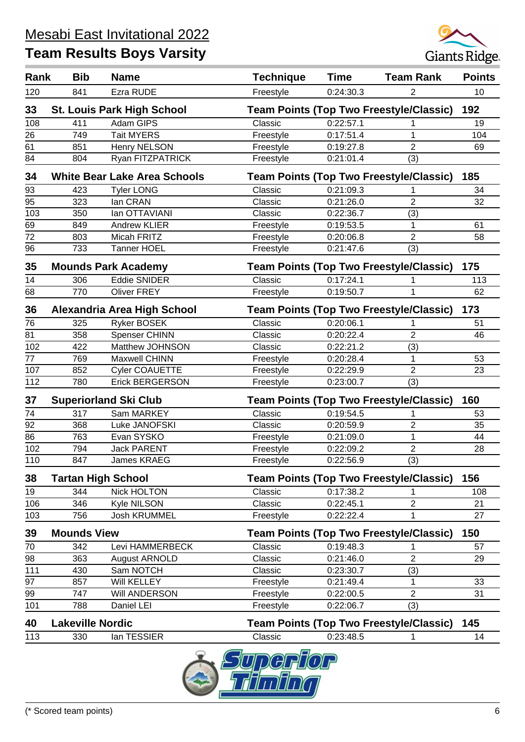

| Rank            | <b>Bib</b>              | <b>Name</b>                         | <b>Technique</b> | <b>Time</b> | <b>Team Rank</b>                               | <b>Points</b> |
|-----------------|-------------------------|-------------------------------------|------------------|-------------|------------------------------------------------|---------------|
| 120             | 841                     | Ezra RUDE                           | Freestyle        | 0:24:30.3   | 2                                              | 10            |
| 33              |                         | <b>St. Louis Park High School</b>   |                  |             | Team Points (Top Two Freestyle/Classic)        | 192           |
| 108             | 411                     | Adam GIPS                           | Classic          | 0:22:57.1   |                                                | 19            |
| 26              | 749                     | <b>Tait MYERS</b>                   | Freestyle        | 0:17:51.4   | 1                                              | 104           |
| 61              | 851                     | Henry NELSON                        | Freestyle        | 0:19:27.8   | 2                                              | 69            |
| 84              | 804                     | Ryan FITZPATRICK                    | Freestyle        | 0:21:01.4   | (3)                                            |               |
| 34              |                         | <b>White Bear Lake Area Schools</b> |                  |             | <b>Team Points (Top Two Freestyle/Classic)</b> | 185           |
| 93              | 423                     | <b>Tyler LONG</b>                   | Classic          | 0:21:09.3   |                                                | 34            |
| 95              | 323                     | lan CRAN                            | Classic          | 0:21:26.0   | $\overline{2}$                                 | 32            |
| 103             | 350                     | lan OTTAVIANI                       | Classic          | 0:22:36.7   | (3)                                            |               |
| 69              | 849                     | <b>Andrew KLIER</b>                 | Freestyle        | 0:19:53.5   | 1                                              | 61            |
| 72              | 803                     | Micah FRITZ                         | Freestyle        | 0:20:06.8   | $\overline{2}$                                 | 58            |
| 96              | 733                     | <b>Tanner HOEL</b>                  | Freestyle        | 0:21:47.6   | (3)                                            |               |
| 35              |                         | <b>Mounds Park Academy</b>          |                  |             | Team Points (Top Two Freestyle/Classic)        | 175           |
| 14              | 306                     | <b>Eddie SNIDER</b>                 | Classic          | 0:17:24.1   |                                                | 113           |
| 68              | 770                     | <b>Oliver FREY</b>                  | Freestyle        | 0:19:50.7   | 1                                              | 62            |
| 36              |                         | Alexandria Area High School         |                  |             | Team Points (Top Two Freestyle/Classic)        | 173           |
| 76              | 325                     | <b>Ryker BOSEK</b>                  | Classic          | 0:20:06.1   |                                                | 51            |
| 81              | 358                     | <b>Spenser CHINN</b>                | Classic          | 0:20:22.4   | $\overline{2}$                                 | 46            |
| 102             | 422                     | Matthew JOHNSON                     | Classic          | 0:22:21.2   | (3)                                            |               |
| 77              | 769                     | <b>Maxwell CHINN</b>                | Freestyle        | 0:20:28.4   | 1                                              | 53            |
| 107             | 852                     | <b>Cyler COAUETTE</b>               | Freestyle        | 0:22:29.9   | $\overline{2}$                                 | 23            |
| 112             | 780                     | Erick BERGERSON                     | Freestyle        | 0:23:00.7   | (3)                                            |               |
| 37              |                         | <b>Superiorland Ski Club</b>        |                  |             | <b>Team Points (Top Two Freestyle/Classic)</b> | 160           |
| 74              | 317                     | Sam MARKEY                          | Classic          | 0:19:54.5   |                                                | 53            |
| $\overline{92}$ | 368                     | Luke JANOFSKI                       | Classic          | 0:20:59.9   | $\overline{2}$                                 | 35            |
| 86              | 763                     | Evan SYSKO                          | Freestyle        | 0:21:09.0   | 1                                              | 44            |
| 102             | 794                     | <b>Jack PARENT</b>                  | Freestyle        | 0:22:09.2   | $\overline{2}$                                 | 28            |
| 110             | 847                     | <b>James KRAEG</b>                  | Freestyle        | 0:22:56.9   | (3)                                            |               |
| 38              |                         | <b>Tartan High School</b>           |                  |             | <b>Team Points (Top Two Freestyle/Classic)</b> | 156           |
| 19              | 344                     | <b>Nick HOLTON</b>                  | Classic          | 0:17:38.2   | 1                                              | 108           |
| 106             | 346                     | Kyle NILSON                         | Classic          | 0:22:45.1   | $\overline{2}$                                 | 21            |
| 103             | 756                     | Josh KRUMMEL                        | Freestyle        | 0:22:22.4   | 1                                              | 27            |
| 39              | <b>Mounds View</b>      |                                     |                  |             | <b>Team Points (Top Two Freestyle/Classic)</b> | 150           |
| 70              | 342                     | Levi HAMMERBECK                     | Classic          | 0:19:48.3   |                                                | 57            |
| 98              | 363                     | <b>August ARNOLD</b>                | Classic          | 0:21:46.0   | 2                                              | 29            |
| 111             | 430                     | Sam NOTCH                           | Classic          | 0:23:30.7   | (3)                                            |               |
| 97              | 857                     | Will KELLEY                         | Freestyle        | 0:21:49.4   | 1                                              | 33            |
| 99              | 747                     | Will ANDERSON                       | Freestyle        | 0:22:00.5   | $\overline{2}$                                 | 31            |
| 101             | 788                     | Daniel LEI                          | Freestyle        | 0:22:06.7   | (3)                                            |               |
| 40              | <b>Lakeville Nordic</b> |                                     |                  |             | <b>Team Points (Top Two Freestyle/Classic)</b> | 145           |
| 113             | 330                     | lan TESSIER                         | Classic          | 0:23:48.5   | 1                                              | 14            |
|                 |                         |                                     |                  |             |                                                |               |
|                 |                         |                                     | 2. Sunerior      |             |                                                |               |

**Edimina**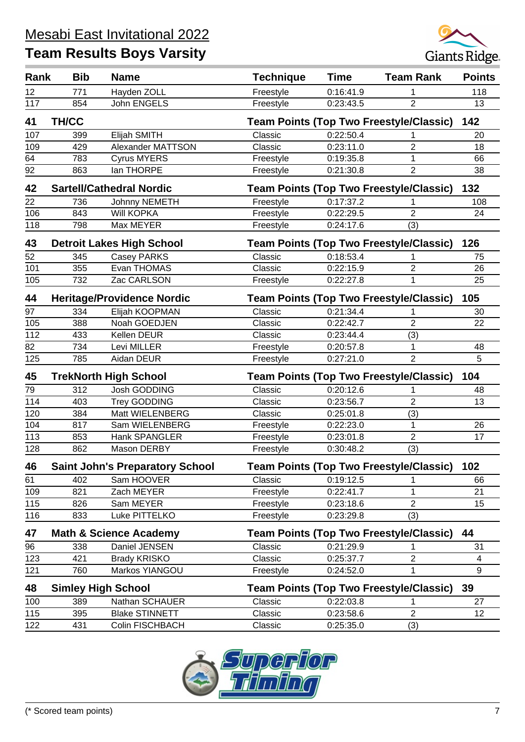#### Mesabi East Invitational 2022





| Rank | <b>Bib</b>   | <b>Name</b>                                                                         | <b>Technique</b> | <b>Time</b> | <b>Team Rank</b>                               | <b>Points</b> |
|------|--------------|-------------------------------------------------------------------------------------|------------------|-------------|------------------------------------------------|---------------|
| 12   | 771          | Hayden ZOLL                                                                         | Freestyle        | 0:16:41.9   |                                                | 118           |
| 117  | 854          | John ENGELS                                                                         | Freestyle        | 0:23:43.5   | $\overline{2}$                                 | 13            |
| 41   | <b>TH/CC</b> |                                                                                     |                  |             | Team Points (Top Two Freestyle/Classic)        | 142           |
| 107  | 399          | <b>Elijah SMITH</b>                                                                 | Classic          | 0:22:50.4   |                                                | 20            |
| 109  | 429          | <b>Alexander MATTSON</b>                                                            | Classic          | 0:23:11.0   | $\overline{2}$                                 | 18            |
| 64   | 783          | <b>Cyrus MYERS</b>                                                                  | Freestyle        | 0:19:35.8   | 1                                              | 66            |
| 92   | 863          | lan THORPE                                                                          | Freestyle        | 0:21:30.8   | 2                                              | 38            |
| 42   |              | <b>Sartell/Cathedral Nordic</b>                                                     |                  |             | <b>Team Points (Top Two Freestyle/Classic)</b> | 132           |
| 22   | 736          | Johnny NEMETH                                                                       | Freestyle        | 0:17:37.2   |                                                | 108           |
| 106  | 843          | <b>Will KOPKA</b>                                                                   | Freestyle        | 0:22:29.5   | $\overline{2}$                                 | 24            |
| 118  | 798          | Max MEYER                                                                           | Freestyle        | 0:24:17.6   | (3)                                            |               |
| 43   |              | <b>Detroit Lakes High School</b>                                                    |                  |             | <b>Team Points (Top Two Freestyle/Classic)</b> | 126           |
| 52   | 345          | <b>Casey PARKS</b>                                                                  | Classic          | 0:18:53.4   |                                                | 75            |
| 101  | 355          | Evan THOMAS                                                                         | Classic          | 0:22:15.9   | $\overline{2}$                                 | 26            |
| 105  | 732          | Zac CARLSON                                                                         | Freestyle        | 0:22:27.8   | 1                                              | 25            |
| 44   |              | <b>Heritage/Providence Nordic</b><br><b>Team Points (Top Two Freestyle/Classic)</b> |                  |             |                                                | 105           |
| 97   | 334          | Elijah KOOPMAN                                                                      | Classic          | 0:21:34.4   |                                                | 30            |
| 105  | 388          | Noah GOEDJEN                                                                        | Classic          | 0:22:42.7   | $\overline{2}$                                 | 22            |
| 112  | 433          | Kellen DEUR                                                                         | Classic          | 0:23:44.4   | (3)                                            |               |
| 82   | 734          | Levi MILLER                                                                         | Freestyle        | 0:20:57.8   | 1                                              | 48            |
| 125  | 785          | Aidan DEUR                                                                          | Freestyle        | 0:27:21.0   | $\overline{2}$                                 | 5             |
| 45   |              | <b>TrekNorth High School</b>                                                        |                  |             | <b>Team Points (Top Two Freestyle/Classic)</b> | 104           |
| 79   | 312          | Josh GODDING                                                                        | Classic          | 0:20:12.6   | 1                                              | 48            |
| 114  | 403          | <b>Trey GODDING</b>                                                                 | Classic          | 0:23:56.7   | $\overline{2}$                                 | 13            |
| 120  | 384          | Matt WIELENBERG                                                                     | Classic          | 0:25:01.8   | (3)                                            |               |
| 104  | 817          | Sam WIELENBERG                                                                      | Freestyle        | 0:22:23.0   | 1                                              | 26            |
| 113  | 853          | Hank SPANGLER                                                                       | Freestyle        | 0:23:01.8   | $\overline{2}$                                 | 17            |
| 128  | 862          | Mason DERBY                                                                         | Freestyle        | 0:30:48.2   | (3)                                            |               |
| 46   |              | <b>Saint John's Preparatory School</b>                                              |                  |             | <b>Team Points (Top Two Freestyle/Classic)</b> | 102           |
| 61   | 402          | Sam HOOVER                                                                          | Classic          | 0:19:12.5   | 1                                              | 66            |
| 109  | 821          | Zach MEYER                                                                          | Freestyle        | 0:22:41.7   | 1                                              | 21            |
| 115  | 826          | Sam MEYER                                                                           | Freestyle        | 0:23:18.6   | $\overline{2}$                                 | 15            |
| 116  | 833          | Luke PITTELKO                                                                       | Freestyle        | 0:23:29.8   | (3)                                            |               |
| 47   |              | <b>Math &amp; Science Academy</b>                                                   |                  |             | Team Points (Top Two Freestyle/Classic)        | 44            |
| 96   | 338          | Daniel JENSEN                                                                       | Classic          | 0:21:29.9   |                                                | 31            |
| 123  | 421          | <b>Brady KRISKO</b>                                                                 | Classic          | 0:25:37.7   | 2                                              | 4             |
| 121  | 760          | Markos YIANGOU                                                                      | Freestyle        | 0:24:52.0   | 1                                              | 9             |
| 48   |              | <b>Simley High School</b>                                                           |                  |             | <b>Team Points (Top Two Freestyle/Classic)</b> | 39            |
| 100  | 389          | Nathan SCHAUER                                                                      | Classic          | 0:22:03.8   | 1                                              | 27            |
| 115  | 395          | <b>Blake STINNETT</b>                                                               | Classic          | 0:23:58.6   | $\overline{2}$                                 | 12            |
| 122  | 431          | Colin FISCHBACH                                                                     | Classic          | 0:25:35.0   | (3)                                            |               |